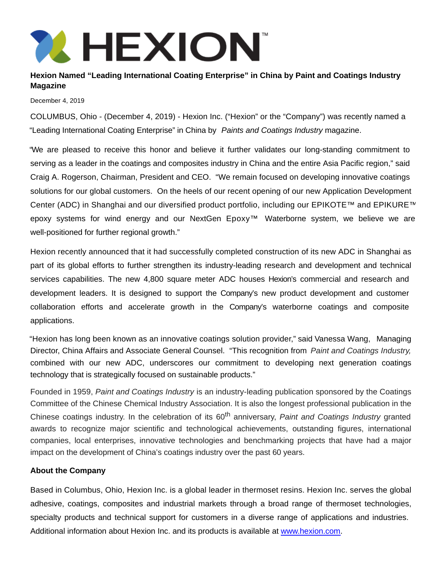

## **Hexion Named "Leading International Coating Enterprise" in China by Paint and Coatings Industry Magazine**

December 4, 2019

COLUMBUS, Ohio - (December 4, 2019) - Hexion Inc. ("Hexion" or the "Company") was recently named a "Leading International Coating Enterprise" in China by Paints and Coatings Industry magazine.

"We are pleased to receive this honor and believe it further validates our long-standing commitment to serving as a leader in the coatings and composites industry in China and the entire Asia Pacific region," said Craig A. Rogerson, Chairman, President and CEO. "We remain focused on developing innovative coatings solutions for our global customers. On the heels of our recent opening of our new Application Development Center (ADC) in Shanghai and our diversified product portfolio, including our EPIKOTE™ and EPIKURE™ epoxy systems for wind energy and our NextGen Epoxy™ Waterborne system, we believe we are well-positioned for further regional growth."

Hexion recently announced that it had successfully completed construction of its new ADC in Shanghai as part of its global efforts to further strengthen its industry-leading research and development and technical services capabilities. The new 4,800 square meter ADC houses Hexion's commercial and research and development leaders. It is designed to support the Company's new product development and customer collaboration efforts and accelerate growth in the Company's waterborne coatings and composite applications.

"Hexion has long been known as an innovative coatings solution provider," said Vanessa Wang, Managing Director, China Affairs and Associate General Counsel. "This recognition from Paint and Coatings Industry, combined with our new ADC, underscores our commitment to developing next generation coatings technology that is strategically focused on sustainable products."

Founded in 1959, Paint and Coatings Industry is an industry-leading publication sponsored by the Coatings Committee of the Chinese Chemical Industry Association. It is also the longest professional publication in the Chinese coatings industry. In the celebration of its 60<sup>th</sup> anniversary, Paint and Coatings Industry granted awards to recognize major scientific and technological achievements, outstanding figures, international companies, local enterprises, innovative technologies and benchmarking projects that have had a major impact on the development of China's coatings industry over the past 60 years.

## **About the Company**

Based in Columbus, Ohio, Hexion Inc. is a global leader in thermoset resins. Hexion Inc. serves the global adhesive, coatings, composites and industrial markets through a broad range of thermoset technologies, specialty products and technical support for customers in a diverse range of applications and industries. Additional information about Hexion Inc. and its products is available at [www.hexion.com.](http://www.hexion.com/)